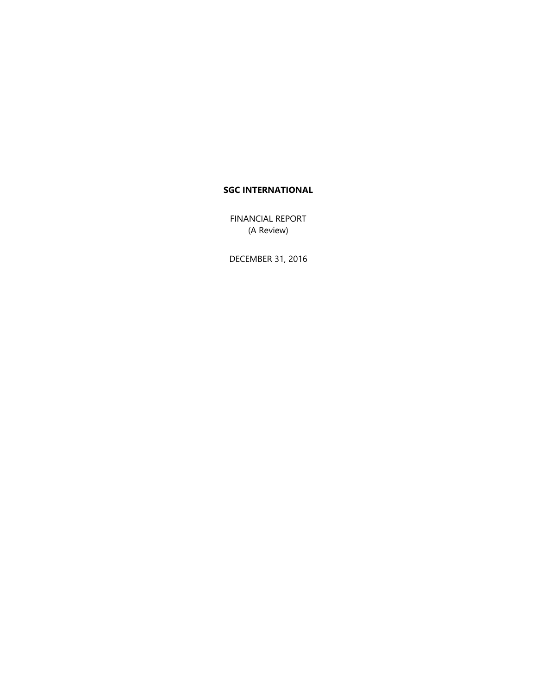FINANCIAL REPORT (A Review)

DECEMBER 31, 2016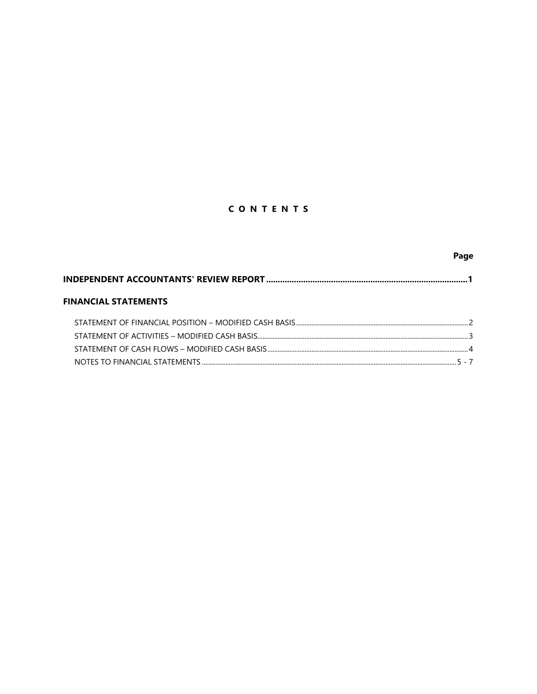# CONTENTS

|                                                                            | Page |
|----------------------------------------------------------------------------|------|
| INDEPENDENT ACCOUNTANTS' REVIEW REPORT …………………………………………………………………………………………1 |      |
| <b>FINANCIAL STATEMENTS</b>                                                |      |
|                                                                            |      |
|                                                                            |      |
|                                                                            |      |
|                                                                            |      |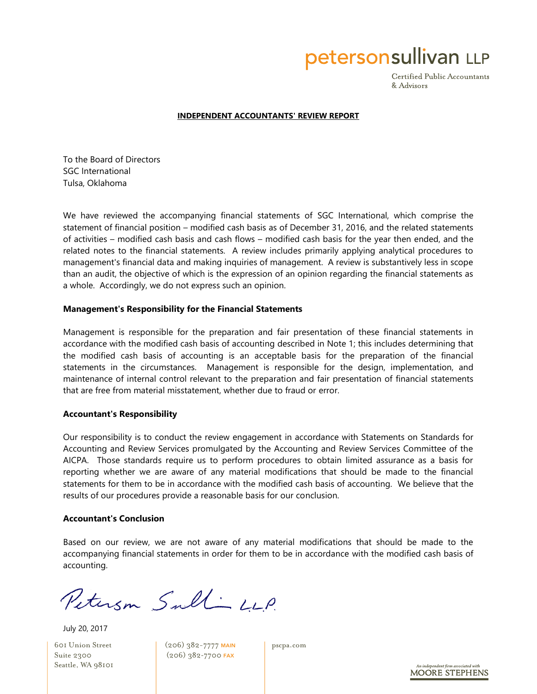petersonsullivan LLP

Certified Public Accountants & Advisors

#### **INDEPENDENT ACCOUNTANTS' REVIEW REPORT**

To the Board of Directors SGC International Tulsa, Oklahoma

We have reviewed the accompanying financial statements of SGC International, which comprise the statement of financial position – modified cash basis as of December 31, 2016, and the related statements of activities – modified cash basis and cash flows – modified cash basis for the year then ended, and the related notes to the financial statements. A review includes primarily applying analytical procedures to management's financial data and making inquiries of management. A review is substantively less in scope than an audit, the objective of which is the expression of an opinion regarding the financial statements as a whole. Accordingly, we do not express such an opinion.

#### **Management's Responsibility for the Financial Statements**

Management is responsible for the preparation and fair presentation of these financial statements in accordance with the modified cash basis of accounting described in Note 1; this includes determining that the modified cash basis of accounting is an acceptable basis for the preparation of the financial statements in the circumstances. Management is responsible for the design, implementation, and maintenance of internal control relevant to the preparation and fair presentation of financial statements that are free from material misstatement, whether due to fraud or error.

#### **Accountant's Responsibility**

Our responsibility is to conduct the review engagement in accordance with Statements on Standards for Accounting and Review Services promulgated by the Accounting and Review Services Committee of the AICPA. Those standards require us to perform procedures to obtain limited assurance as a basis for reporting whether we are aware of any material modifications that should be made to the financial statements for them to be in accordance with the modified cash basis of accounting. We believe that the results of our procedures provide a reasonable basis for our conclusion.

#### **Accountant's Conclusion**

Based on our review, we are not aware of any material modifications that should be made to the accompanying financial statements in order for them to be in accordance with the modified cash basis of accounting.

Peterson Sull LLP.

July 20, 2017

601 Union Street Suite 2300 Seattle, WA 98101 (206) 382-7777 MAIN (206) 382-7700 FAX

pscpa.com

independent firm associated with **MOORE STEPHENS**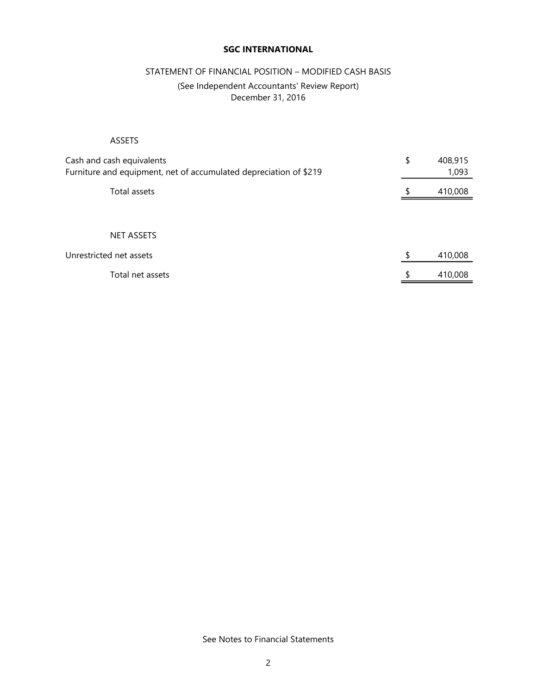## STATEMENT OF FINANCIAL POSITION – MODIFIED CASH BASIS

## (See Independent Accountants' Review Report) December 31, 2016

## ASSETS

| Cash and cash equivalents<br>Furniture and equipment, net of accumulated depreciation of \$219 | \$ | 408,915<br>1,093 |
|------------------------------------------------------------------------------------------------|----|------------------|
| Total assets                                                                                   | S  | 410,008          |
|                                                                                                |    |                  |
| <b>NET ASSETS</b>                                                                              |    |                  |
| Unrestricted net assets                                                                        | \$ | 410,008          |
| Total net assets                                                                               | \$ | 410,008          |

See Notes to Financial Statements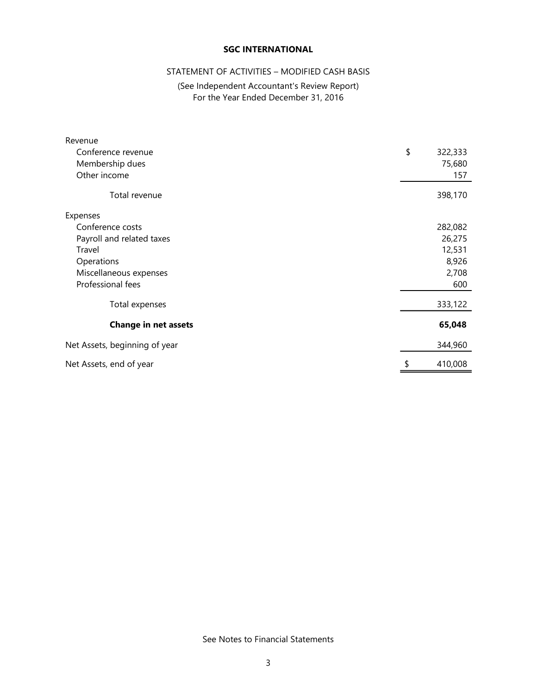## STATEMENT OF ACTIVITIES – MODIFIED CASH BASIS

## (See Independent Accountant's Review Report) For the Year Ended December 31, 2016

| Revenue                       |               |
|-------------------------------|---------------|
| Conference revenue            | \$<br>322,333 |
| Membership dues               | 75,680        |
| Other income                  | 157           |
| Total revenue                 | 398,170       |
| Expenses                      |               |
| Conference costs              | 282,082       |
| Payroll and related taxes     | 26,275        |
| Travel                        | 12,531        |
| Operations                    | 8,926         |
| Miscellaneous expenses        | 2,708         |
| Professional fees             | 600           |
| Total expenses                | 333,122       |
| <b>Change in net assets</b>   | 65,048        |
| Net Assets, beginning of year | 344,960       |
| Net Assets, end of year       | 410,008       |

See Notes to Financial Statements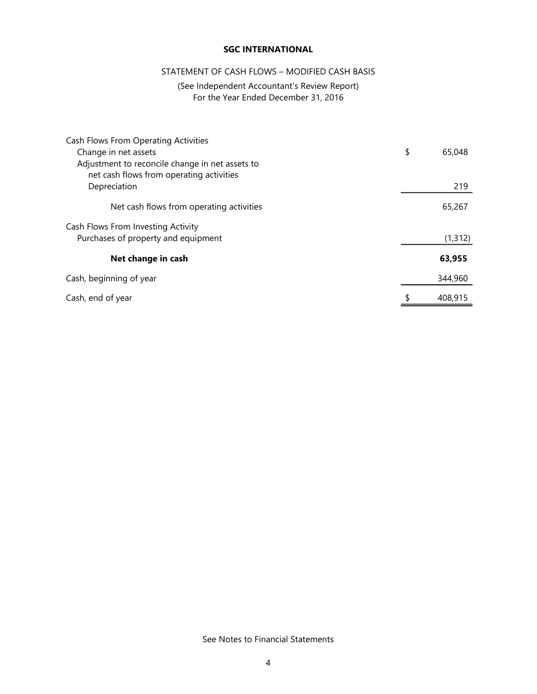## STATEMENT OF CASH FLOWS – MODIFIED CASH BASIS

## (See Independent Accountant's Review Report) For the Year Ended December 31, 2016

| Cash Flows From Operating Activities            |               |
|-------------------------------------------------|---------------|
| Change in net assets                            | \$<br>65,048  |
| Adjustment to reconcile change in net assets to |               |
| net cash flows from operating activities        |               |
| Depreciation                                    | 219           |
| Net cash flows from operating activities        | 65,267        |
| Cash Flows From Investing Activity              |               |
| Purchases of property and equipment             | (1, 312)      |
| Net change in cash                              | 63,955        |
| Cash, beginning of year                         | 344,960       |
| Cash, end of year                               | \$<br>408,915 |

See Notes to Financial Statements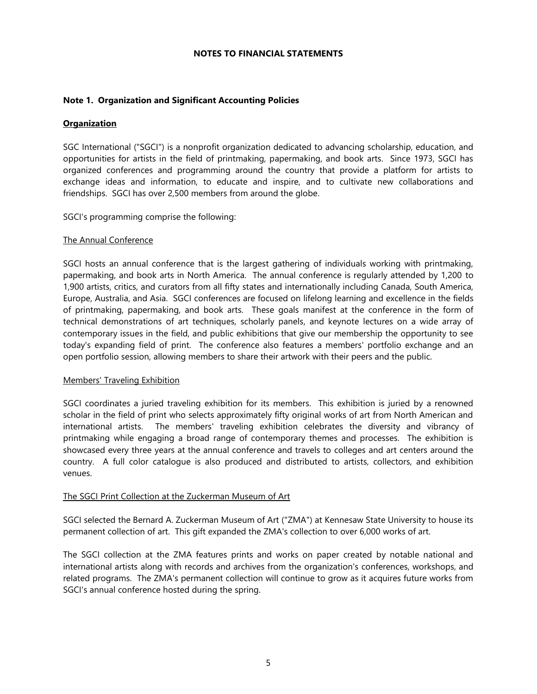### **NOTES TO FINANCIAL STATEMENTS**

## **Note 1. Organization and Significant Accounting Policies**

#### **Organization**

SGC International ("SGCI") is a nonprofit organization dedicated to advancing scholarship, education, and opportunities for artists in the field of printmaking, papermaking, and book arts. Since 1973, SGCI has organized conferences and programming around the country that provide a platform for artists to exchange ideas and information, to educate and inspire, and to cultivate new collaborations and friendships. SGCI has over 2,500 members from around the globe.

SGCI's programming comprise the following:

### The Annual Conference

SGCI hosts an annual conference that is the largest gathering of individuals working with printmaking, papermaking, and book arts in North America. The annual conference is regularly attended by 1,200 to 1,900 artists, critics, and curators from all fifty states and internationally including Canada, South America, Europe, Australia, and Asia. SGCI conferences are focused on lifelong learning and excellence in the fields of printmaking, papermaking, and book arts. These goals manifest at the conference in the form of technical demonstrations of art techniques, scholarly panels, and keynote lectures on a wide array of contemporary issues in the field, and public exhibitions that give our membership the opportunity to see today's expanding field of print. The conference also features a members' portfolio exchange and an open portfolio session, allowing members to share their artwork with their peers and the public.

#### Members' Traveling Exhibition

SGCI coordinates a juried traveling exhibition for its members. This exhibition is juried by a renowned scholar in the field of print who selects approximately fifty original works of art from North American and international artists. The members' traveling exhibition celebrates the diversity and vibrancy of printmaking while engaging a broad range of contemporary themes and processes. The exhibition is showcased every three years at the annual conference and travels to colleges and art centers around the country. A full color catalogue is also produced and distributed to artists, collectors, and exhibition venues.

#### The SGCI Print Collection at the Zuckerman Museum of Art

SGCI selected the Bernard A. Zuckerman Museum of Art ("ZMA") at Kennesaw State University to house its permanent collection of art. This gift expanded the ZMA's collection to over 6,000 works of art.

The SGCI collection at the ZMA features prints and works on paper created by notable national and international artists along with records and archives from the organization's conferences, workshops, and related programs. The ZMA's permanent collection will continue to grow as it acquires future works from SGCI's annual conference hosted during the spring.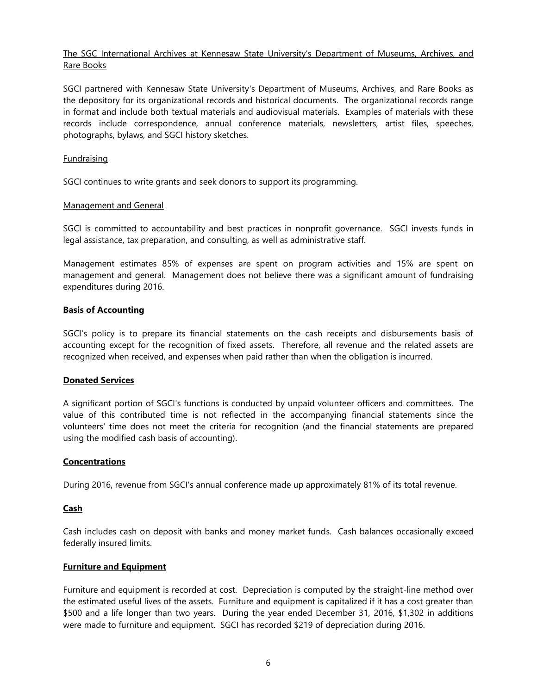## The SGC International Archives at Kennesaw State University's Department of Museums, Archives, and Rare Books

SGCI partnered with Kennesaw State University's Department of Museums, Archives, and Rare Books as the depository for its organizational records and historical documents. The organizational records range in format and include both textual materials and audiovisual materials. Examples of materials with these records include correspondence, annual conference materials, newsletters, artist files, speeches, photographs, bylaws, and SGCI history sketches.

## **Fundraising**

SGCI continues to write grants and seek donors to support its programming.

## Management and General

SGCI is committed to accountability and best practices in nonprofit governance. SGCI invests funds in legal assistance, tax preparation, and consulting, as well as administrative staff.

Management estimates 85% of expenses are spent on program activities and 15% are spent on management and general. Management does not believe there was a significant amount of fundraising expenditures during 2016.

## **Basis of Accounting**

SGCI's policy is to prepare its financial statements on the cash receipts and disbursements basis of accounting except for the recognition of fixed assets. Therefore, all revenue and the related assets are recognized when received, and expenses when paid rather than when the obligation is incurred.

## **Donated Services**

A significant portion of SGCI's functions is conducted by unpaid volunteer officers and committees. The value of this contributed time is not reflected in the accompanying financial statements since the volunteers' time does not meet the criteria for recognition (and the financial statements are prepared using the modified cash basis of accounting).

## **Concentrations**

During 2016, revenue from SGCI's annual conference made up approximately 81% of its total revenue.

## **Cash**

Cash includes cash on deposit with banks and money market funds. Cash balances occasionally exceed federally insured limits.

## **Furniture and Equipment**

Furniture and equipment is recorded at cost. Depreciation is computed by the straight-line method over the estimated useful lives of the assets. Furniture and equipment is capitalized if it has a cost greater than \$500 and a life longer than two years. During the year ended December 31, 2016, \$1,302 in additions were made to furniture and equipment. SGCI has recorded \$219 of depreciation during 2016.